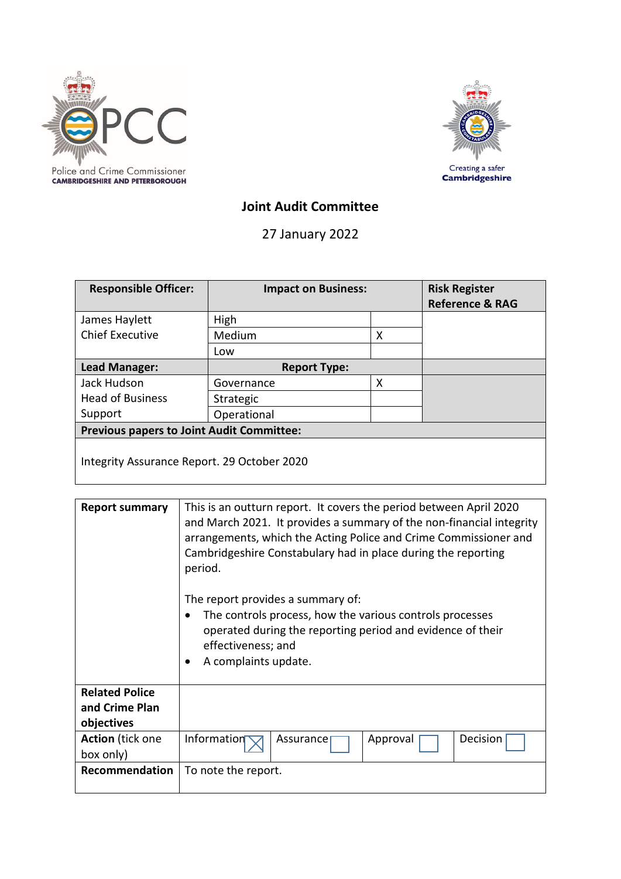



# **Joint Audit Committee**

27 January 2022

| <b>Responsible Officer:</b>                      | <b>Impact on Business:</b> |   | <b>Risk Register</b><br><b>Reference &amp; RAG</b> |  |
|--------------------------------------------------|----------------------------|---|----------------------------------------------------|--|
| James Haylett                                    | High                       |   |                                                    |  |
| <b>Chief Executive</b>                           | Medium                     | x |                                                    |  |
|                                                  | Low                        |   |                                                    |  |
| Lead Manager:                                    | <b>Report Type:</b>        |   |                                                    |  |
| Jack Hudson                                      | Governance                 | X |                                                    |  |
| <b>Head of Business</b>                          | Strategic                  |   |                                                    |  |
| Support                                          | Operational                |   |                                                    |  |
| <b>Previous papers to Joint Audit Committee:</b> |                            |   |                                                    |  |
| Integrity Assurance Report. 29 October 2020      |                            |   |                                                    |  |

| <b>Report summary</b>                                 | This is an outturn report. It covers the period between April 2020<br>and March 2021. It provides a summary of the non-financial integrity<br>arrangements, which the Acting Police and Crime Commissioner and<br>Cambridgeshire Constabulary had in place during the reporting<br>period.<br>The report provides a summary of:<br>The controls process, how the various controls processes<br>operated during the reporting period and evidence of their<br>effectiveness; and<br>A complaints update. |  |  |  |
|-------------------------------------------------------|---------------------------------------------------------------------------------------------------------------------------------------------------------------------------------------------------------------------------------------------------------------------------------------------------------------------------------------------------------------------------------------------------------------------------------------------------------------------------------------------------------|--|--|--|
| <b>Related Police</b><br>and Crime Plan<br>objectives |                                                                                                                                                                                                                                                                                                                                                                                                                                                                                                         |  |  |  |
| <b>Action</b> (tick one<br>box only)                  | Information<br>Decision<br>Approval<br>Assurance                                                                                                                                                                                                                                                                                                                                                                                                                                                        |  |  |  |
| <b>Recommendation</b>                                 | To note the report.                                                                                                                                                                                                                                                                                                                                                                                                                                                                                     |  |  |  |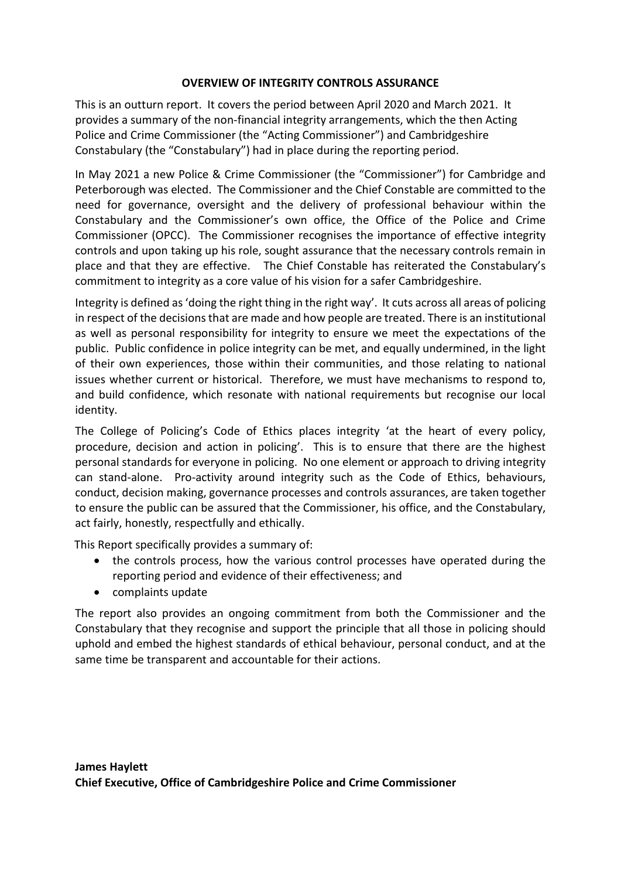## **OVERVIEW OF INTEGRITY CONTROLS ASSURANCE**

This is an outturn report. It covers the period between April 2020 and March 2021. It provides a summary of the non-financial integrity arrangements, which the then Acting Police and Crime Commissioner (the "Acting Commissioner") and Cambridgeshire Constabulary (the "Constabulary") had in place during the reporting period.

In May 2021 a new Police & Crime Commissioner (the "Commissioner") for Cambridge and Peterborough was elected. The Commissioner and the Chief Constable are committed to the need for governance, oversight and the delivery of professional behaviour within the Constabulary and the Commissioner's own office, the Office of the Police and Crime Commissioner (OPCC). The Commissioner recognises the importance of effective integrity controls and upon taking up his role, sought assurance that the necessary controls remain in place and that they are effective. The Chief Constable has reiterated the Constabulary's commitment to integrity as a core value of his vision for a safer Cambridgeshire.

Integrity is defined as 'doing the right thing in the right way'. It cuts across all areas of policing in respect of the decisions that are made and how people are treated. There is an institutional as well as personal responsibility for integrity to ensure we meet the expectations of the public. Public confidence in police integrity can be met, and equally undermined, in the light of their own experiences, those within their communities, and those relating to national issues whether current or historical. Therefore, we must have mechanisms to respond to, and build confidence, which resonate with national requirements but recognise our local identity.

The College of Policing's Code of Ethics places integrity 'at the heart of every policy, procedure, decision and action in policing'. This is to ensure that there are the highest personal standards for everyone in policing. No one element or approach to driving integrity can stand-alone. Pro-activity around integrity such as the Code of Ethics, behaviours, conduct, decision making, governance processes and controls assurances, are taken together to ensure the public can be assured that the Commissioner, his office, and the Constabulary, act fairly, honestly, respectfully and ethically.

This Report specifically provides a summary of:

- the controls process, how the various control processes have operated during the reporting period and evidence of their effectiveness; and
- complaints update

The report also provides an ongoing commitment from both the Commissioner and the Constabulary that they recognise and support the principle that all those in policing should uphold and embed the highest standards of ethical behaviour, personal conduct, and at the same time be transparent and accountable for their actions.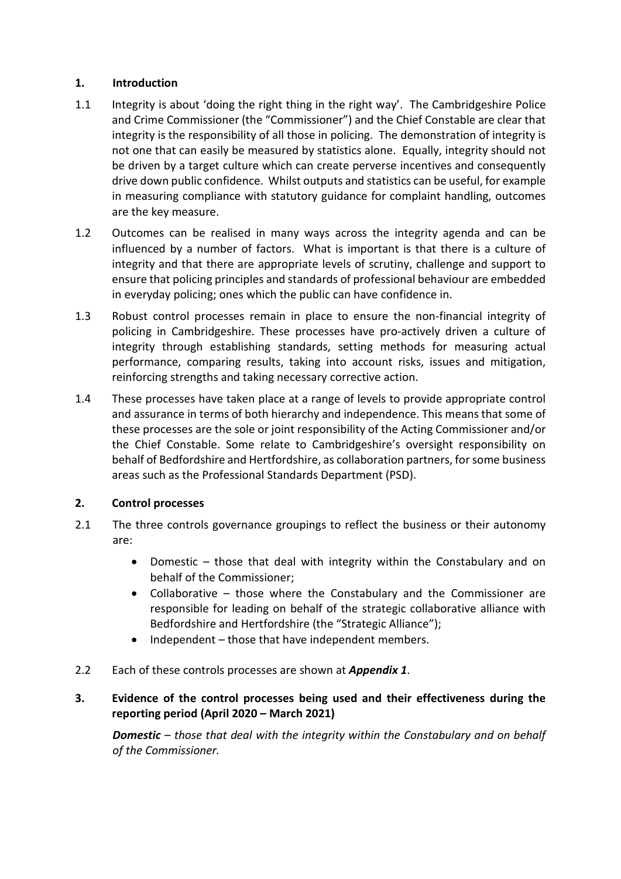## **1. Introduction**

- 1.1 Integrity is about 'doing the right thing in the right way'. The Cambridgeshire Police and Crime Commissioner (the "Commissioner") and the Chief Constable are clear that integrity is the responsibility of all those in policing. The demonstration of integrity is not one that can easily be measured by statistics alone. Equally, integrity should not be driven by a target culture which can create perverse incentives and consequently drive down public confidence. Whilst outputs and statistics can be useful, for example in measuring compliance with statutory guidance for complaint handling, outcomes are the key measure.
- 1.2 Outcomes can be realised in many ways across the integrity agenda and can be influenced by a number of factors. What is important is that there is a culture of integrity and that there are appropriate levels of scrutiny, challenge and support to ensure that policing principles and standards of professional behaviour are embedded in everyday policing; ones which the public can have confidence in.
- 1.3 Robust control processes remain in place to ensure the non-financial integrity of policing in Cambridgeshire. These processes have pro-actively driven a culture of integrity through establishing standards, setting methods for measuring actual performance, comparing results, taking into account risks, issues and mitigation, reinforcing strengths and taking necessary corrective action.
- 1.4 These processes have taken place at a range of levels to provide appropriate control and assurance in terms of both hierarchy and independence. This means that some of these processes are the sole or joint responsibility of the Acting Commissioner and/or the Chief Constable. Some relate to Cambridgeshire's oversight responsibility on behalf of Bedfordshire and Hertfordshire, as collaboration partners, for some business areas such as the Professional Standards Department (PSD).

## **2. Control processes**

- 2.1 The three controls governance groupings to reflect the business or their autonomy are:
	- Domestic those that deal with integrity within the Constabulary and on behalf of the Commissioner;
	- Collaborative those where the Constabulary and the Commissioner are responsible for leading on behalf of the strategic collaborative alliance with Bedfordshire and Hertfordshire (the "Strategic Alliance");
	- Independent those that have independent members.
- 2.2 Each of these controls processes are shown at *Appendix 1*.
- **3. Evidence of the control processes being used and their effectiveness during the reporting period (April 2020 – March 2021)**

*Domestic – those that deal with the integrity within the Constabulary and on behalf of the Commissioner.*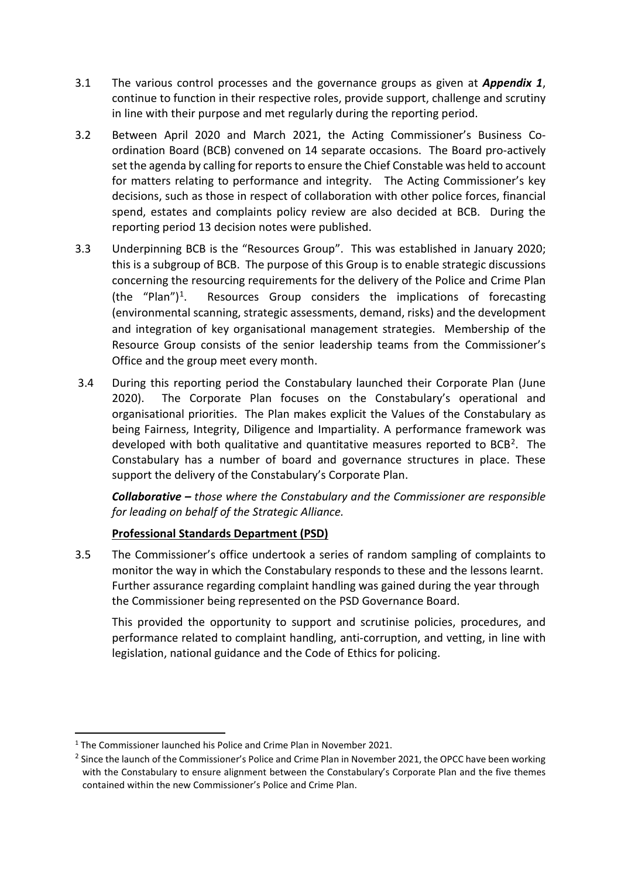- 3.1 The various control processes and the governance groups as given at *Appendix 1*, continue to function in their respective roles, provide support, challenge and scrutiny in line with their purpose and met regularly during the reporting period.
- 3.2 Between April 2020 and March 2021, the Acting Commissioner's Business Coordination Board (BCB) convened on 14 separate occasions. The Board pro-actively set the agenda by calling for reports to ensure the Chief Constable was held to account for matters relating to performance and integrity. The Acting Commissioner's key decisions, such as those in respect of collaboration with other police forces, financial spend, estates and complaints policy review are also decided at BCB. During the reporting period 13 decision notes were published.
- 3.3 Underpinning BCB is the "Resources Group". This was established in January 2020; this is a subgroup of BCB. The purpose of this Group is to enable strategic discussions concerning the resourcing requirements for the delivery of the Police and Crime Plan (the "Plan")<sup>[1](#page-3-0)</sup>. Resources Group considers the implications of forecasting (environmental scanning, strategic assessments, demand, risks) and the development and integration of key organisational management strategies. Membership of the Resource Group consists of the senior leadership teams from the Commissioner's Office and the group meet every month.
- 3.4 During this reporting period the Constabulary launched their Corporate Plan (June 2020). The Corporate Plan focuses on the Constabulary's operational and organisational priorities. The Plan makes explicit the Values of the Constabulary as being Fairness, Integrity, Diligence and Impartiality. A performance framework was developed with both qualitative and quantitative measures reported to  $BCB<sup>2</sup>$  $BCB<sup>2</sup>$  $BCB<sup>2</sup>$ . The Constabulary has a number of board and governance structures in place. These support the delivery of the Constabulary's Corporate Plan.

*Collaborative – those where the Constabulary and the Commissioner are responsible for leading on behalf of the Strategic Alliance.*

## **Professional Standards Department (PSD)**

3.5 The Commissioner's office undertook a series of random sampling of complaints to monitor the way in which the Constabulary responds to these and the lessons learnt. Further assurance regarding complaint handling was gained during the year through the Commissioner being represented on the PSD Governance Board.

This provided the opportunity to support and scrutinise policies, procedures, and performance related to complaint handling, anti-corruption, and vetting, in line with legislation, national guidance and the Code of Ethics for policing.

<span id="page-3-0"></span><sup>&</sup>lt;sup>1</sup> The Commissioner launched his Police and Crime Plan in November 2021.

<span id="page-3-1"></span><sup>&</sup>lt;sup>2</sup> Since the launch of the Commissioner's Police and Crime Plan in November 2021, the OPCC have been working with the Constabulary to ensure alignment between the Constabulary's Corporate Plan and the five themes contained within the new Commissioner's Police and Crime Plan.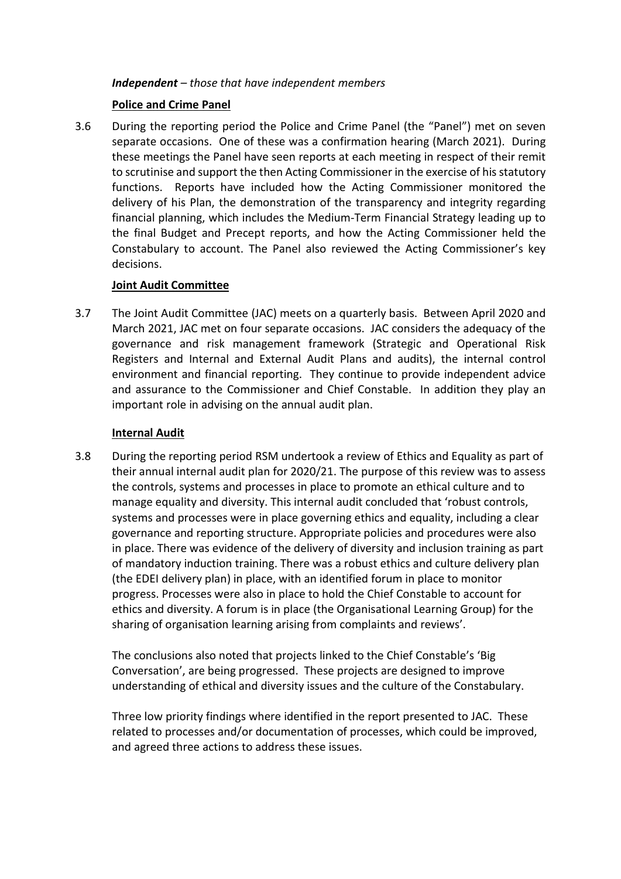#### *Independent – those that have independent members*

## **Police and Crime Panel**

3.6 During the reporting period the Police and Crime Panel (the "Panel") met on seven separate occasions. One of these was a confirmation hearing (March 2021). During these meetings the Panel have seen reports at each meeting in respect of their remit to scrutinise and support the then Acting Commissioner in the exercise of his statutory functions. Reports have included how the Acting Commissioner monitored the delivery of his Plan, the demonstration of the transparency and integrity regarding financial planning, which includes the Medium-Term Financial Strategy leading up to the final Budget and Precept reports, and how the Acting Commissioner held the Constabulary to account. The Panel also reviewed the Acting Commissioner's key decisions.

#### **Joint Audit Committee**

3.7 The Joint Audit Committee (JAC) meets on a quarterly basis. Between April 2020 and March 2021, JAC met on four separate occasions. JAC considers the adequacy of the governance and risk management framework (Strategic and Operational Risk Registers and Internal and External Audit Plans and audits), the internal control environment and financial reporting. They continue to provide independent advice and assurance to the Commissioner and Chief Constable. In addition they play an important role in advising on the annual audit plan.

#### **Internal Audit**

3.8 During the reporting period RSM undertook a review of Ethics and Equality as part of their annual internal audit plan for 2020/21. The purpose of this review was to assess the controls, systems and processes in place to promote an ethical culture and to manage equality and diversity. This internal audit concluded that 'robust controls, systems and processes were in place governing ethics and equality, including a clear governance and reporting structure. Appropriate policies and procedures were also in place. There was evidence of the delivery of diversity and inclusion training as part of mandatory induction training. There was a robust ethics and culture delivery plan (the EDEI delivery plan) in place, with an identified forum in place to monitor progress. Processes were also in place to hold the Chief Constable to account for ethics and diversity. A forum is in place (the Organisational Learning Group) for the sharing of organisation learning arising from complaints and reviews'.

The conclusions also noted that projects linked to the Chief Constable's 'Big Conversation', are being progressed. These projects are designed to improve understanding of ethical and diversity issues and the culture of the Constabulary.

Three low priority findings where identified in the report presented to JAC. These related to processes and/or documentation of processes, which could be improved, and agreed three actions to address these issues.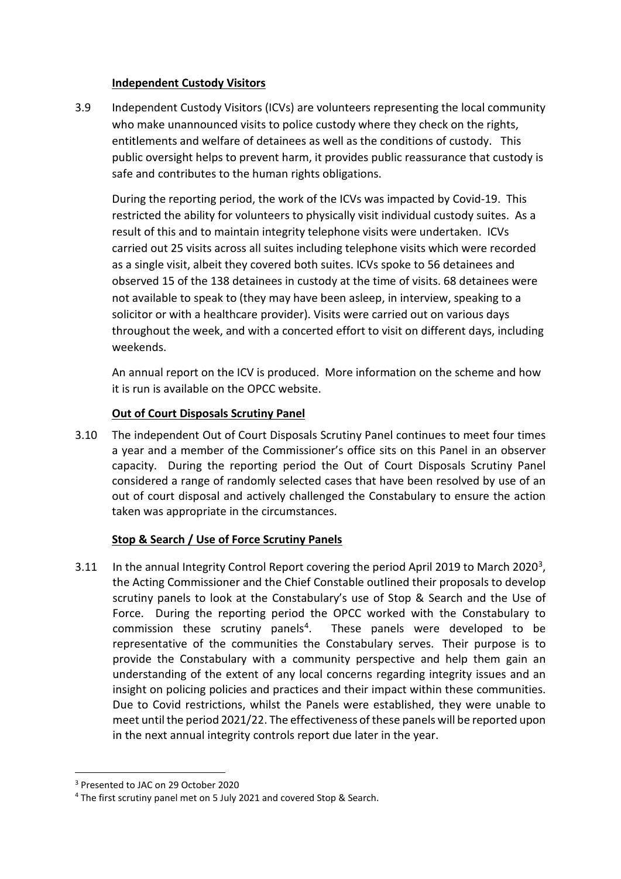#### **Independent Custody Visitors**

3.9 Independent Custody Visitors (ICVs) are volunteers representing the local community who make unannounced visits to police custody where they check on the rights, entitlements and welfare of detainees as well as the conditions of custody. This public oversight helps to prevent harm, it provides public reassurance that custody is safe and contributes to the human rights obligations.

During the reporting period, the work of the ICVs was impacted by Covid-19. This restricted the ability for volunteers to physically visit individual custody suites. As a result of this and to maintain integrity telephone visits were undertaken. ICVs carried out 25 visits across all suites including telephone visits which were recorded as a single visit, albeit they covered both suites. ICVs spoke to 56 detainees and observed 15 of the 138 detainees in custody at the time of visits. 68 detainees were not available to speak to (they may have been asleep, in interview, speaking to a solicitor or with a healthcare provider). Visits were carried out on various days throughout the week, and with a concerted effort to visit on different days, including weekends.

An annual report on the ICV is produced. More information on the scheme and how it is run is available on the OPCC website.

## **Out of Court Disposals Scrutiny Panel**

3.10 The independent Out of Court Disposals Scrutiny Panel continues to meet four times a year and a member of the Commissioner's office sits on this Panel in an observer capacity. During the reporting period the Out of Court Disposals Scrutiny Panel considered a range of randomly selected cases that have been resolved by use of an out of court disposal and actively challenged the Constabulary to ensure the action taken was appropriate in the circumstances.

## **Stop & Search / Use of Force Scrutiny Panels**

[3](#page-5-0).11 In the annual Integrity Control Report covering the period April 2019 to March 2020<sup>3</sup>, the Acting Commissioner and the Chief Constable outlined their proposals to develop scrutiny panels to look at the Constabulary's use of Stop & Search and the Use of Force. During the reporting period the OPCC worked with the Constabulary to commission these scrutiny panels<sup>[4](#page-5-1)</sup>. These panels were developed to be representative of the communities the Constabulary serves. Their purpose is to provide the Constabulary with a community perspective and help them gain an understanding of the extent of any local concerns regarding integrity issues and an insight on policing policies and practices and their impact within these communities. Due to Covid restrictions, whilst the Panels were established, they were unable to meet until the period 2021/22. The effectiveness of these panels will be reported upon in the next annual integrity controls report due later in the year.

<span id="page-5-0"></span><sup>3</sup> Presented to JAC on 29 October 2020

<span id="page-5-1"></span><sup>4</sup> The first scrutiny panel met on 5 July 2021 and covered Stop & Search.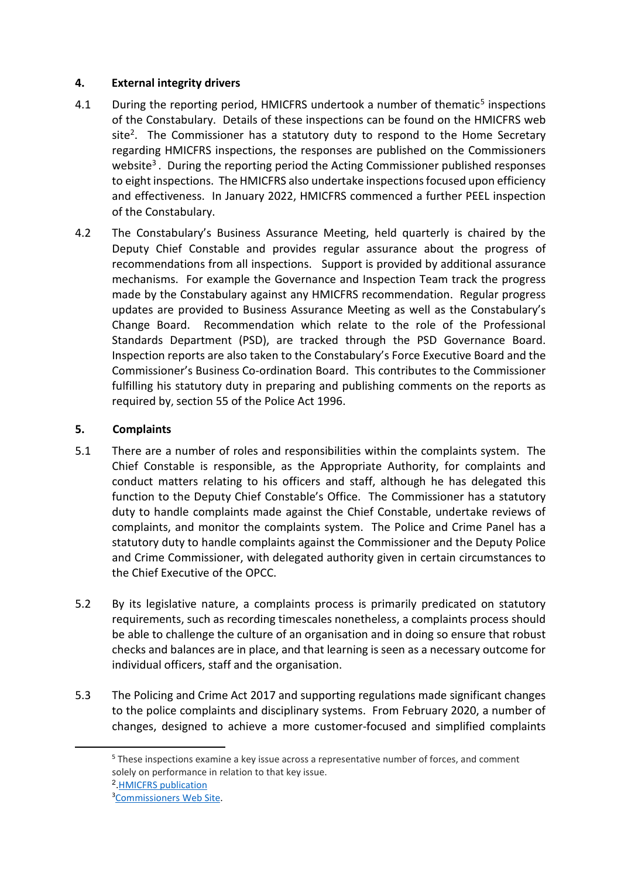## **4. External integrity drivers**

- 4.1 During the reporting period, HMICFRS undertook a number of thematic<sup>[5](#page-6-0)</sup> inspections of the Constabulary. Details of these inspections can be found on the HMICFRS web  $site<sup>2</sup>$ . The Commissioner has a statutory duty to respond to the Home Secretary regarding HMICFRS inspections, the responses are published on the Commissioners website<sup>3</sup>. During the reporting period the Acting Commissioner published responses to eight inspections. The HMICFRS also undertake inspections focused upon efficiency and effectiveness. In January 2022, HMICFRS commenced a further PEEL inspection of the Constabulary.
- 4.2 The Constabulary's Business Assurance Meeting, held quarterly is chaired by the Deputy Chief Constable and provides regular assurance about the progress of recommendations from all inspections. Support is provided by additional assurance mechanisms. For example the Governance and Inspection Team track the progress made by the Constabulary against any HMICFRS recommendation. Regular progress updates are provided to Business Assurance Meeting as well as the Constabulary's Change Board. Recommendation which relate to the role of the Professional Standards Department (PSD), are tracked through the PSD Governance Board. Inspection reports are also taken to the Constabulary's Force Executive Board and the Commissioner's Business Co-ordination Board. This contributes to the Commissioner fulfilling his statutory duty in preparing and publishing comments on the reports as required by, section 55 of the Police Act 1996.

## **5. Complaints**

- 5.1 There are a number of roles and responsibilities within the complaints system. The Chief Constable is responsible, as the Appropriate Authority, for complaints and conduct matters relating to his officers and staff, although he has delegated this function to the Deputy Chief Constable's Office. The Commissioner has a statutory duty to handle complaints made against the Chief Constable, undertake reviews of complaints, and monitor the complaints system. The Police and Crime Panel has a statutory duty to handle complaints against the Commissioner and the Deputy Police and Crime Commissioner, with delegated authority given in certain circumstances to the Chief Executive of the OPCC.
- 5.2 By its legislative nature, a complaints process is primarily predicated on statutory requirements, such as recording timescales nonetheless, a complaints process should be able to challenge the culture of an organisation and in doing so ensure that robust checks and balances are in place, and that learning is seen as a necessary outcome for individual officers, staff and the organisation.
- <span id="page-6-0"></span>5.3 The Policing and Crime Act 2017 and supporting regulations made significant changes to the police complaints and disciplinary systems. From February 2020, a number of changes, designed to achieve a more customer-focused and simplified complaints

<sup>5</sup> These inspections examine a key issue across a representative number of forces, and comment solely on performance in relation to that key issue.

<sup>2.</sup>[HMICFRS publication](https://www.justiceinspectorates.gov.uk/hmicfrs/?force=cambridgeshire&type=publications&s)

<sup>&</sup>lt;sup>3</sup>[Commissioners Web Site.](https://www.cambridgeshire-pcc.gov.uk/accessing-information/hmicfrs-inspection-reports/)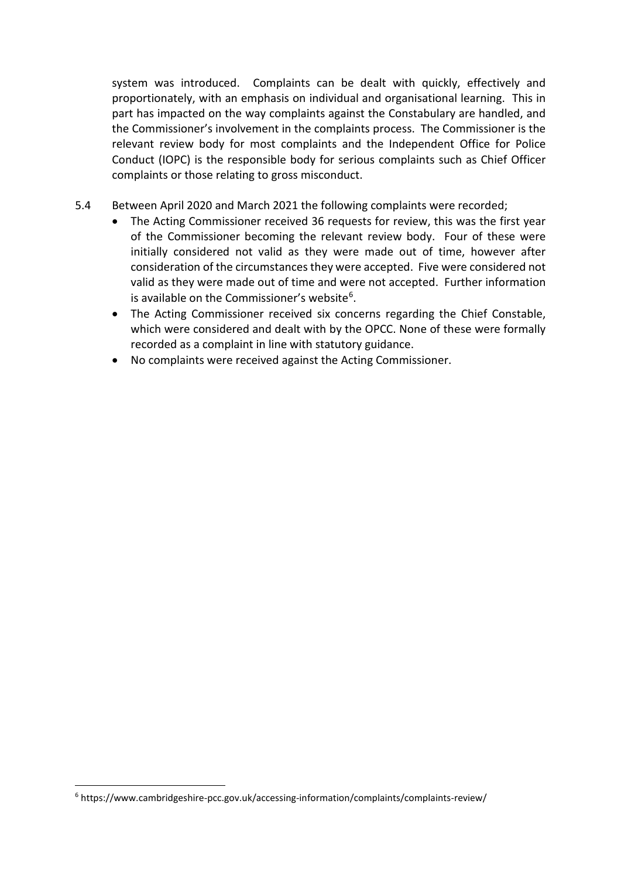system was introduced. Complaints can be dealt with quickly, effectively and proportionately, with an emphasis on individual and organisational learning. This in part has impacted on the way complaints against the Constabulary are handled, and the Commissioner's involvement in the complaints process. The Commissioner is the relevant review body for most complaints and the Independent Office for Police Conduct (IOPC) is the responsible body for serious complaints such as Chief Officer complaints or those relating to gross misconduct.

- 5.4 Between April 2020 and March 2021 the following complaints were recorded;
	- The Acting Commissioner received 36 requests for review, this was the first year of the Commissioner becoming the relevant review body. Four of these were initially considered not valid as they were made out of time, however after consideration of the circumstances they were accepted. Five were considered not valid as they were made out of time and were not accepted. Further information is available on the Commissioner's website<sup>6</sup>.
	- The Acting Commissioner received six concerns regarding the Chief Constable, which were considered and dealt with by the OPCC. None of these were formally recorded as a complaint in line with statutory guidance.
	- No complaints were received against the Acting Commissioner.

<span id="page-7-0"></span><sup>6</sup> https://www.cambridgeshire-pcc.gov.uk/accessing-information/complaints/complaints-review/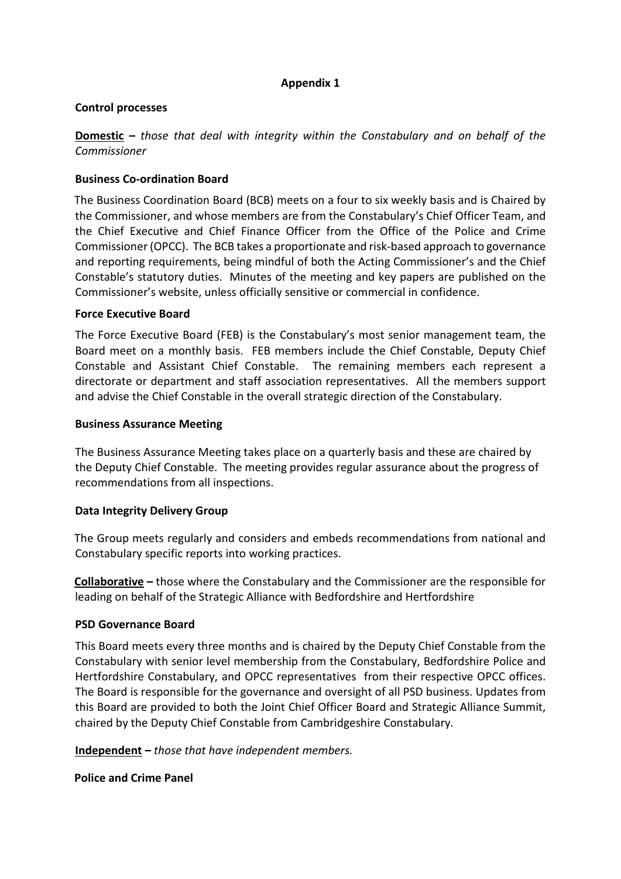## **Appendix 1**

#### **Control processes**

**Domestic –** *those that deal with integrity within the Constabulary and on behalf of the Commissioner*

#### **Business Co-ordination Board**

The Business Coordination Board (BCB) meets on a four to six weekly basis and is Chaired by the Commissioner, and whose members are from the Constabulary's Chief Officer Team, and the Chief Executive and Chief Finance Officer from the Office of the Police and Crime Commissioner (OPCC). The BCB takes a proportionate and risk-based approach to governance and reporting requirements, being mindful of both the Acting Commissioner's and the Chief Constable's statutory duties. Minutes of the meeting and key papers are published on the Commissioner's website, unless officially sensitive or commercial in confidence.

#### **Force Executive Board**

The Force Executive Board (FEB) is the Constabulary's most senior management team, the Board meet on a monthly basis. FEB members include the Chief Constable, Deputy Chief Constable and Assistant Chief Constable. The remaining members each represent a directorate or department and staff association representatives. All the members support and advise the Chief Constable in the overall strategic direction of the Constabulary.

#### **Business Assurance Meeting**

The Business Assurance Meeting takes place on a quarterly basis and these are chaired by the Deputy Chief Constable. The meeting provides regular assurance about the progress of recommendations from all inspections.

#### **Data Integrity Delivery Group**

The Group meets regularly and considers and embeds recommendations from national and Constabulary specific reports into working practices.

**Collaborative –** those where the Constabulary and the Commissioner are the responsible for leading on behalf of the Strategic Alliance with Bedfordshire and Hertfordshire

#### **PSD Governance Board**

This Board meets every three months and is chaired by the Deputy Chief Constable from the Constabulary with senior level membership from the Constabulary, Bedfordshire Police and Hertfordshire Constabulary, and OPCC representatives from their respective OPCC offices. The Board is responsible for the governance and oversight of all PSD business. Updates from this Board are provided to both the Joint Chief Officer Board and Strategic Alliance Summit, chaired by the Deputy Chief Constable from Cambridgeshire Constabulary.

**Independent –** *those that have independent members.*

**Police and Crime Panel**